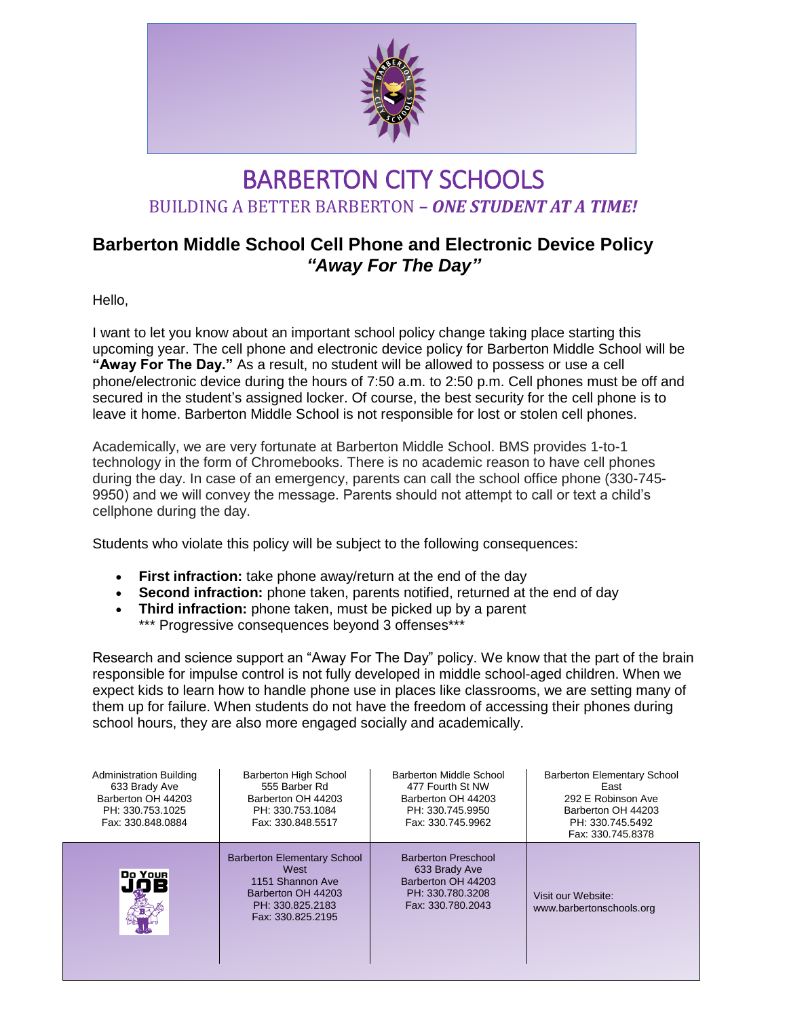

## BARBERTON CITY SCHOOLS BUILDING A BETTER BARBERTON **–** *ONE STUDENT AT A TIME!*

## **Barberton Middle School Cell Phone and Electronic Device Policy** *"Away For The Day"*

Hello,

I want to let you know about an important school policy change taking place starting this upcoming year. The cell phone and electronic device policy for Barberton Middle School will be **"Away For The Day."** As a result, no student will be allowed to possess or use a cell phone/electronic device during the hours of 7:50 a.m. to 2:50 p.m. Cell phones must be off and secured in the student's assigned locker. Of course, the best security for the cell phone is to leave it home. Barberton Middle School is not responsible for lost or stolen cell phones.

Academically, we are very fortunate at Barberton Middle School. BMS provides 1-to-1 technology in the form of Chromebooks. There is no academic reason to have cell phones during the day. In case of an emergency, parents can call the school office phone (330-745- 9950) and we will convey the message. Parents should not attempt to call or text a child's cellphone during the day.

Students who violate this policy will be subject to the following consequences:

- **First infraction:** take phone away/return at the end of the day
- **Second infraction:** phone taken, parents notified, returned at the end of day
- **Third infraction:** phone taken, must be picked up by a parent \*\*\* Progressive consequences beyond 3 offenses\*\*\*

Research and science support an "Away For The Day" policy. We know that the part of the brain responsible for impulse control is not fully developed in middle school-aged children. When we expect kids to learn how to handle phone use in places like classrooms, we are setting many of them up for failure. When students do not have the freedom of accessing their phones during school hours, they are also more engaged socially and academically.

| <b>Administration Building</b><br>633 Brady Ave<br>Barberton OH 44203<br>PH: 330.753.1025<br>Fax: 330.848.0884 | <b>Barberton High School</b><br>555 Barber Rd<br>Barberton OH 44203<br>PH: 330.753.1084<br>Fax: 330.848.5517                  | Barberton Middle School<br>477 Fourth St NW<br>Barberton OH 44203<br>PH: 330.745.9950<br>Fax: 330.745.9962 | <b>Barberton Elementary School</b><br>East<br>292 E Robinson Ave<br>Barberton OH 44203<br>PH: 330.745.5492<br>Fax: 330.745.8378 |
|----------------------------------------------------------------------------------------------------------------|-------------------------------------------------------------------------------------------------------------------------------|------------------------------------------------------------------------------------------------------------|---------------------------------------------------------------------------------------------------------------------------------|
| Do Your                                                                                                        | <b>Barberton Elementary School</b><br>West<br>1151 Shannon Ave<br>Barberton OH 44203<br>PH: 330.825.2183<br>Fax: 330.825.2195 | <b>Barberton Preschool</b><br>633 Brady Ave<br>Barberton OH 44203<br>PH: 330.780.3208<br>Fax: 330.780.2043 | Visit our Website:<br>www.barbertonschools.org                                                                                  |